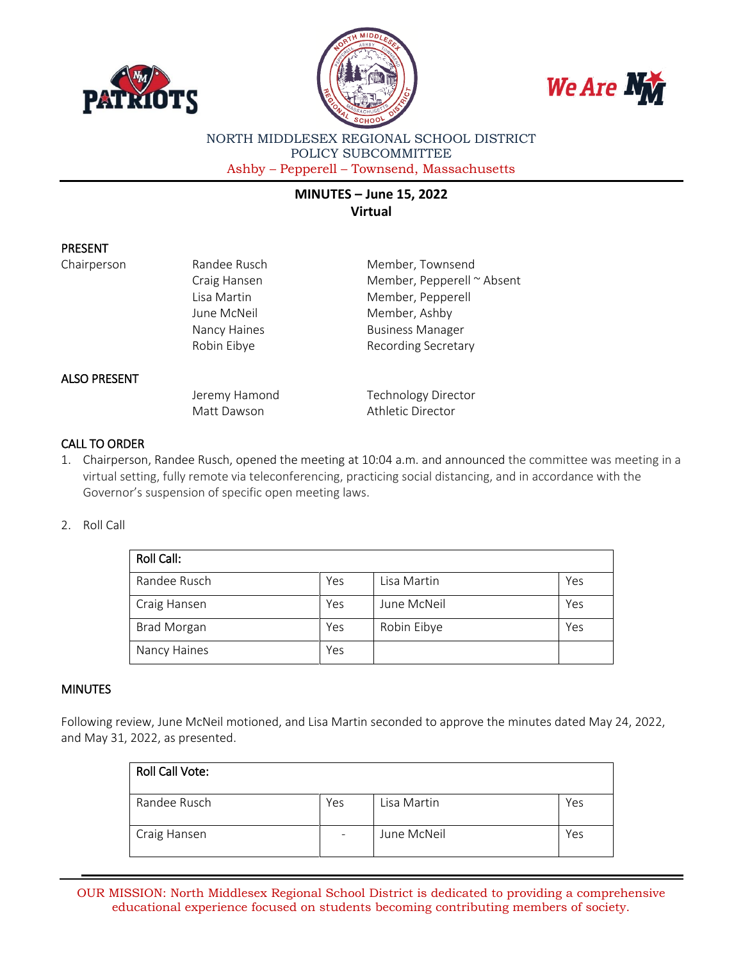





NORTH MIDDLESEX REGIONAL SCHOOL DISTRICT POLICY SUBCOMMITTEE Ashby – Pepperell – Townsend, Massachusetts

# **MINUTES – June 15, 2022 Virtual**

## PRESENT

Chairperson **Randee Rusch** Member, Townsend Craig Hansen Member, Pepperell ~ Absent Lisa Martin Member, Pepperell June McNeil **Member**, Ashby Nancy Haines **Business Manager** Robin Eibye **Recording Secretary** 

## ALSO PRESENT

Jeremy Hamond Technology Director Matt Dawson **Athletic Director** 

# CALL TO ORDER

1. Chairperson, Randee Rusch, opened the meeting at 10:04 a.m. and announced the committee was meeting in a virtual setting, fully remote via teleconferencing, practicing social distancing, and in accordance with the Governor's suspension of specific open meeting laws.

#### 2. Roll Call

| <b>Roll Call:</b>  |     |             |     |  |  |
|--------------------|-----|-------------|-----|--|--|
| Randee Rusch       | Yes | Lisa Martin | Yes |  |  |
| Craig Hansen       | Yes | June McNeil | Yes |  |  |
| <b>Brad Morgan</b> | Yes | Robin Eibye | Yes |  |  |
| Nancy Haines       | Yes |             |     |  |  |

#### **MINUTES**

Following review, June McNeil motioned, and Lisa Martin seconded to approve the minutes dated May 24, 2022, and May 31, 2022, as presented.

| <b>Roll Call Vote:</b> |     |             |     |
|------------------------|-----|-------------|-----|
| Randee Rusch           | Yes | Lisa Martin | Yes |
| Craig Hansen           |     | June McNeil | Yes |

OUR MISSION: North Middlesex Regional School District is dedicated to providing a comprehensive educational experience focused on students becoming contributing members of society.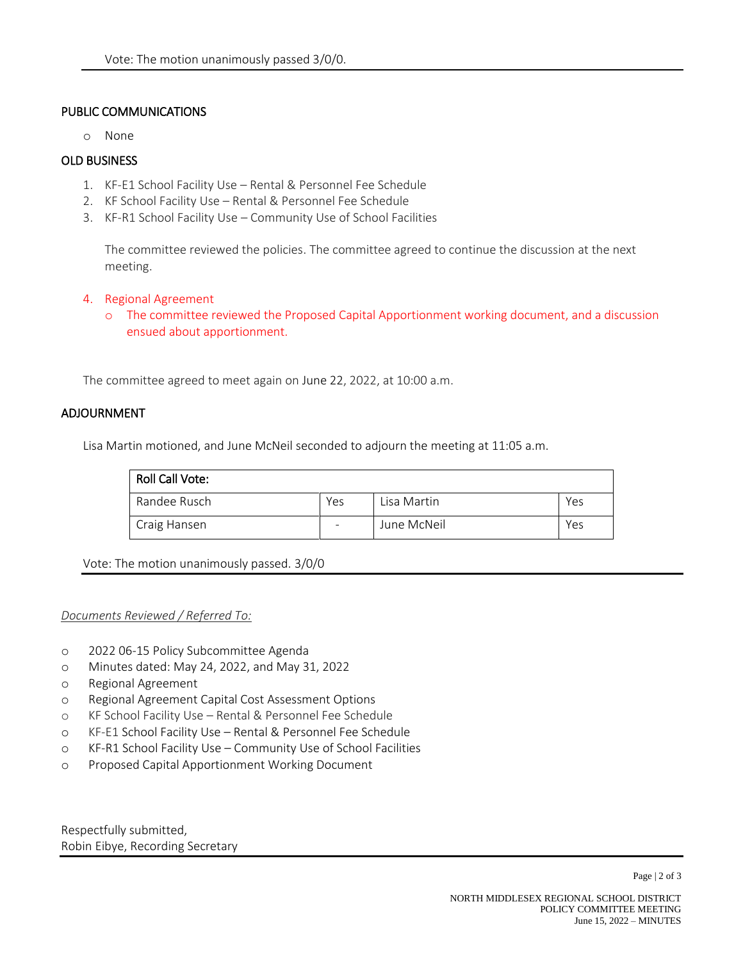## PUBLIC COMMUNICATIONS

o None

# OLD BUSINESS

- 1. KF-E1 School Facility Use Rental & Personnel Fee Schedule
- 2. KF School Facility Use Rental & Personnel Fee Schedule
- 3. KF-R1 School Facility Use Community Use of School Facilities

The committee reviewed the policies. The committee agreed to continue the discussion at the next meeting.

- 4. Regional Agreement
	- o The committee reviewed the Proposed Capital Apportionment working document, and a discussion ensued about apportionment.

The committee agreed to meet again on June 22, 2022, at 10:00 a.m.

#### ADJOURNMENT

Lisa Martin motioned, and June McNeil seconded to adjourn the meeting at 11:05 a.m.

| Roll Call Vote: |     |             |     |
|-----------------|-----|-------------|-----|
| Randee Rusch    | Yes | Lisa Martin | Yes |
| Craig Hansen    |     | June McNeil | Yes |

Vote: The motion unanimously passed. 3/0/0

#### *Documents Reviewed / Referred To:*

- o 2022 06-15 Policy Subcommittee Agenda
- o Minutes dated: May 24, 2022, and May 31, 2022
- o Regional Agreement
- o Regional Agreement Capital Cost Assessment Options
- o KF School Facility Use Rental & Personnel Fee Schedule
- o KF-E1 School Facility Use Rental & Personnel Fee Schedule
- o KF-R1 School Facility Use Community Use of School Facilities
- o Proposed Capital Apportionment Working Document

Respectfully submitted, Robin Eibye, Recording Secretary